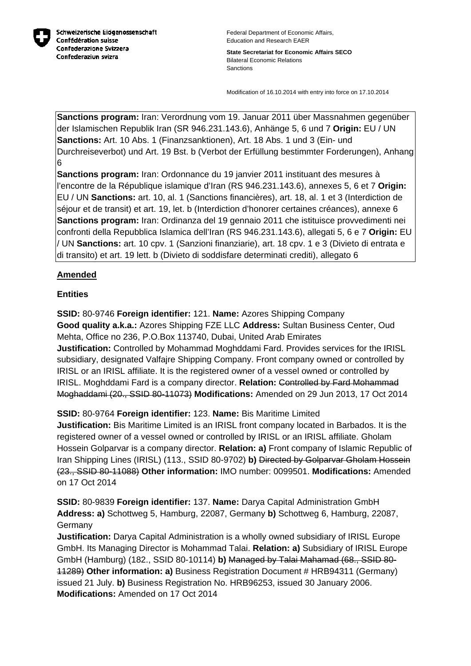

**State Secretariat for Economic Affairs SECO** Bilateral Economic Relations Sanctions

Modification of 16.10.2014 with entry into force on 17.10.2014

**Sanctions program:** Iran: Verordnung vom 19. Januar 2011 über Massnahmen gegenüber der Islamischen Republik Iran (SR 946.231.143.6), Anhänge 5, 6 und 7 **Origin:** EU / UN **Sanctions:** Art. 10 Abs. 1 (Finanzsanktionen), Art. 18 Abs. 1 und 3 (Ein- und Durchreiseverbot) und Art. 19 Bst. b (Verbot der Erfüllung bestimmter Forderungen), Anhang 6

**Sanctions program:** Iran: Ordonnance du 19 janvier 2011 instituant des mesures à l'encontre de la République islamique d'Iran (RS 946.231.143.6), annexes 5, 6 et 7 **Origin:** EU / UN **Sanctions:** art. 10, al. 1 (Sanctions financières), art. 18, al. 1 et 3 (Interdiction de séjour et de transit) et art. 19, let. b (Interdiction d'honorer certaines créances), annexe 6 **Sanctions program:** Iran: Ordinanza del 19 gennaio 2011 che istituisce provvedimenti nei confronti della Repubblica Islamica dell'Iran (RS 946.231.143.6), allegati 5, 6 e 7 **Origin:** EU / UN **Sanctions:** art. 10 cpv. 1 (Sanzioni finanziarie), art. 18 cpv. 1 e 3 (Divieto di entrata e di transito) et art. 19 lett. b (Divieto di soddisfare determinati crediti), allegato 6

## **Amended**

## **Entities**

**SSID:** 80-9746 **Foreign identifier:** 121. **Name:** Azores Shipping Company **Good quality a.k.a.:** Azores Shipping FZE LLC **Address:** Sultan Business Center, Oud Mehta, Office no 236, P.O.Box 113740, Dubai, United Arab Emirates **Justification:** Controlled by Mohammad Moghddami Fard. Provides services for the IRISL subsidiary, designated Valfajre Shipping Company. Front company owned or controlled by IRISL or an IRISL affiliate. It is the registered owner of a vessel owned or controlled by IRISL. Moghddami Fard is a company director. **Relation:** Controlled by Fard Mohammad Moghaddami (20., SSID 80-11073) **Modifications:** Amended on 29 Jun 2013, 17 Oct 2014

**SSID:** 80-9764 **Foreign identifier:** 123. **Name:** Bis Maritime Limited

**Justification:** Bis Maritime Limited is an IRISL front company located in Barbados. It is the registered owner of a vessel owned or controlled by IRISL or an IRISL affiliate. Gholam Hossein Golparvar is a company director. **Relation: a)** Front company of Islamic Republic of Iran Shipping Lines (IRISL) (113., SSID 80-9702) **b)** Directed by Golparvar Gholam Hossein (23., SSID 80-11088) **Other information:** IMO number: 0099501. **Modifications:** Amended on 17 Oct 2014

**SSID:** 80-9839 **Foreign identifier:** 137. **Name:** Darya Capital Administration GmbH **Address: a)** Schottweg 5, Hamburg, 22087, Germany **b)** Schottweg 6, Hamburg, 22087, Germany

**Justification:** Darya Capital Administration is a wholly owned subsidiary of IRISL Europe GmbH. Its Managing Director is Mohammad Talai. **Relation: a)** Subsidiary of IRISL Europe GmbH (Hamburg) (182., SSID 80-10114) **b)** Managed by Talai Mahamad (68., SSID 80- 11289) **Other information: a)** Business Registration Document # HRB94311 (Germany) issued 21 July. **b)** Business Registration No. HRB96253, issued 30 January 2006. **Modifications:** Amended on 17 Oct 2014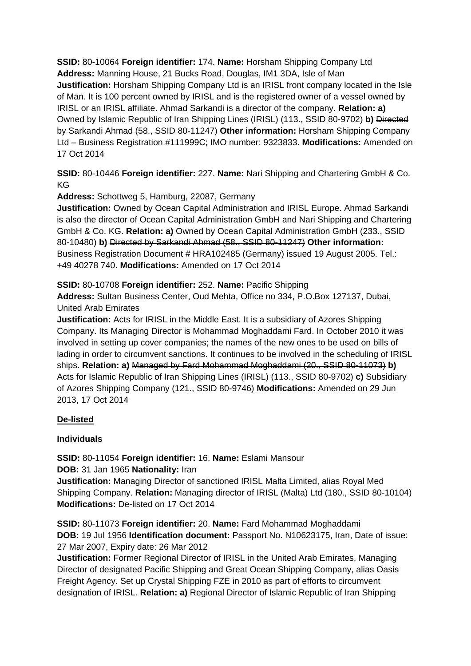**SSID:** 80-10064 **Foreign identifier:** 174. **Name:** Horsham Shipping Company Ltd **Address:** Manning House, 21 Bucks Road, Douglas, IM1 3DA, Isle of Man **Justification:** Horsham Shipping Company Ltd is an IRISL front company located in the Isle of Man. It is 100 percent owned by IRISL and is the registered owner of a vessel owned by IRISL or an IRISL affiliate. Ahmad Sarkandi is a director of the company. **Relation: a)**  Owned by Islamic Republic of Iran Shipping Lines (IRISL) (113., SSID 80-9702) **b)** Directed by Sarkandi Ahmad (58., SSID 80-11247) **Other information:** Horsham Shipping Company Ltd – Business Registration #111999C; IMO number: 9323833. **Modifications:** Amended on 17 Oct 2014

**SSID:** 80-10446 **Foreign identifier:** 227. **Name:** Nari Shipping and Chartering GmbH & Co. KG

**Address:** Schottweg 5, Hamburg, 22087, Germany

**Justification:** Owned by Ocean Capital Administration and IRISL Europe. Ahmad Sarkandi is also the director of Ocean Capital Administration GmbH and Nari Shipping and Chartering GmbH & Co. KG. **Relation: a)** Owned by Ocean Capital Administration GmbH (233., SSID 80-10480) **b)** Directed by Sarkandi Ahmad (58., SSID 80-11247) **Other information:** Business Registration Document # HRA102485 (Germany) issued 19 August 2005. Tel.: +49 40278 740. **Modifications:** Amended on 17 Oct 2014

**SSID:** 80-10708 **Foreign identifier:** 252. **Name:** Pacific Shipping

**Address:** Sultan Business Center, Oud Mehta, Office no 334, P.O.Box 127137, Dubai, United Arab Emirates

**Justification:** Acts for IRISL in the Middle East. It is a subsidiary of Azores Shipping Company. Its Managing Director is Mohammad Moghaddami Fard. In October 2010 it was involved in setting up cover companies; the names of the new ones to be used on bills of lading in order to circumvent sanctions. It continues to be involved in the scheduling of IRISL ships. **Relation: a)** Managed by Fard Mohammad Moghaddami (20., SSID 80-11073) **b)**  Acts for Islamic Republic of Iran Shipping Lines (IRISL) (113., SSID 80-9702) **c)** Subsidiary of Azores Shipping Company (121., SSID 80-9746) **Modifications:** Amended on 29 Jun 2013, 17 Oct 2014

## **De-listed**

## **Individuals**

**SSID:** 80-11054 **Foreign identifier:** 16. **Name:** Eslami Mansour **DOB:** 31 Jan 1965 **Nationality:** Iran

**Justification:** Managing Director of sanctioned IRISL Malta Limited, alias Royal Med Shipping Company. **Relation:** Managing director of IRISL (Malta) Ltd (180., SSID 80-10104) **Modifications:** De-listed on 17 Oct 2014

**SSID:** 80-11073 **Foreign identifier:** 20. **Name:** Fard Mohammad Moghaddami **DOB:** 19 Jul 1956 **Identification document:** Passport No. N10623175, Iran, Date of issue: 27 Mar 2007, Expiry date: 26 Mar 2012

**Justification:** Former Regional Director of IRISL in the United Arab Emirates, Managing Director of designated Pacific Shipping and Great Ocean Shipping Company, alias Oasis Freight Agency. Set up Crystal Shipping FZE in 2010 as part of efforts to circumvent designation of IRISL. **Relation: a)** Regional Director of Islamic Republic of Iran Shipping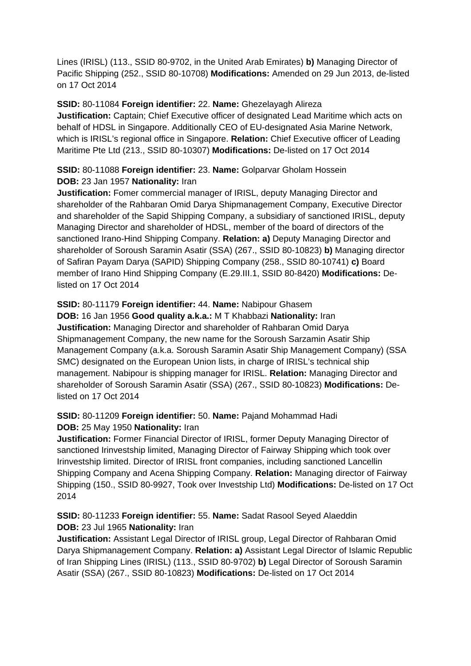Lines (IRISL) (113., SSID 80-9702, in the United Arab Emirates) **b)** Managing Director of Pacific Shipping (252., SSID 80-10708) **Modifications:** Amended on 29 Jun 2013, de-listed on 17 Oct 2014

#### **SSID:** 80-11084 **Foreign identifier:** 22. **Name:** Ghezelayagh Alireza

**Justification:** Captain; Chief Executive officer of designated Lead Maritime which acts on behalf of HDSL in Singapore. Additionally CEO of EU-designated Asia Marine Network, which is IRISL's regional office in Singapore. **Relation:** Chief Executive officer of Leading Maritime Pte Ltd (213., SSID 80-10307) **Modifications:** De-listed on 17 Oct 2014

## **SSID:** 80-11088 **Foreign identifier:** 23. **Name:** Golparvar Gholam Hossein **DOB:** 23 Jan 1957 **Nationality:** Iran

**Justification:** Fomer commercial manager of IRISL, deputy Managing Director and shareholder of the Rahbaran Omid Darya Shipmanagement Company, Executive Director and shareholder of the Sapid Shipping Company, a subsidiary of sanctioned IRISL, deputy Managing Director and shareholder of HDSL, member of the board of directors of the sanctioned Irano-Hind Shipping Company. **Relation: a)** Deputy Managing Director and shareholder of Soroush Saramin Asatir (SSA) (267., SSID 80-10823) **b)** Managing director of Safiran Payam Darya (SAPID) Shipping Company (258., SSID 80-10741) **c)** Board member of Irano Hind Shipping Company (E.29.III.1, SSID 80-8420) **Modifications:** Delisted on 17 Oct 2014

#### **SSID:** 80-11179 **Foreign identifier:** 44. **Name:** Nabipour Ghasem

**DOB:** 16 Jan 1956 **Good quality a.k.a.:** M T Khabbazi **Nationality:** Iran **Justification:** Managing Director and shareholder of Rahbaran Omid Darya Shipmanagement Company, the new name for the Soroush Sarzamin Asatir Ship Management Company (a.k.a. Soroush Saramin Asatir Ship Management Company) (SSA SMC) designated on the European Union lists, in charge of IRISL's technical ship management. Nabipour is shipping manager for IRISL. **Relation:** Managing Director and shareholder of Soroush Saramin Asatir (SSA) (267., SSID 80-10823) **Modifications:** Delisted on 17 Oct 2014

## **SSID:** 80-11209 **Foreign identifier:** 50. **Name:** Pajand Mohammad Hadi **DOB:** 25 May 1950 **Nationality:** Iran

**Justification:** Former Financial Director of IRISL, former Deputy Managing Director of sanctioned Irinvestship limited, Managing Director of Fairway Shipping which took over Irinvestship limited. Director of IRISL front companies, including sanctioned Lancellin Shipping Company and Acena Shipping Company. **Relation:** Managing director of Fairway Shipping (150., SSID 80-9927, Took over Investship Ltd) **Modifications:** De-listed on 17 Oct 2014

## **SSID:** 80-11233 **Foreign identifier:** 55. **Name:** Sadat Rasool Seyed Alaeddin **DOB:** 23 Jul 1965 **Nationality:** Iran

**Justification:** Assistant Legal Director of IRISL group, Legal Director of Rahbaran Omid Darya Shipmanagement Company. **Relation: a)** Assistant Legal Director of Islamic Republic of Iran Shipping Lines (IRISL) (113., SSID 80-9702) **b)** Legal Director of Soroush Saramin Asatir (SSA) (267., SSID 80-10823) **Modifications:** De-listed on 17 Oct 2014